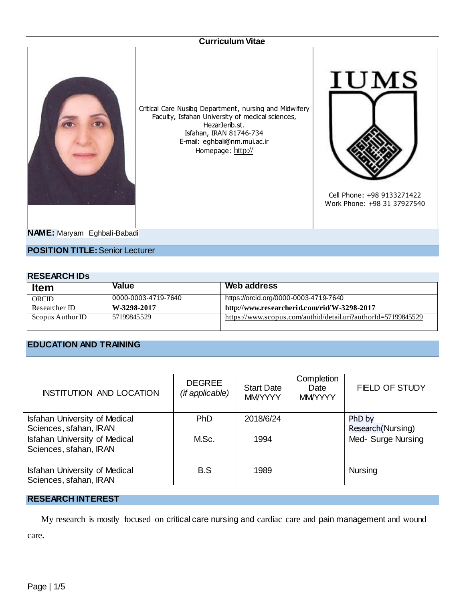#### **Curriculum Vitae**



Critical Care Nusibg [Department, nursing and Midwifery](UsersmaratebAppDataLocalTempresume.htm#adr_addrline1_)  Faculty, Isfahan [University of medical sciences,](UsersmaratebAppDataLocalTempresume.htm#adr_addrline1_) [HezarJerib.st.](UsersmaratebAppDataLocalTempresume.htm#adr_addrline1_) [Isfahan, IRAN](UsersmaratebAppDataLocalTempresume.htm#adr_city_) [81746-734](UsersmaratebAppDataLocalTempresume.htm#adr_zip_) E-mail: eghbali@nm.mui.ac.ir Homepage: [http://](http://eng.ui.ac.ir/~h.marateb/)



Cell Phone: [+98 9133](UsersmaratebAppDataLocalTempresume.htm#con_phonecell_)271422 Work Phone: +98 31 37927540

**NAME:** Maryam Eghbali-Babadi

**POSITION TITLE:**Senior Lecturer

#### **RESEARCH IDs**

| <b>Item</b>      | Value               | Web address                                                   |
|------------------|---------------------|---------------------------------------------------------------|
| <b>ORCID</b>     | 0000-0003-4719-7640 | https://orcid.org/0000-0003-4719-7640                         |
| Researcher ID    | W-3298-2017         | http://www.researcherid.com/rid/W-3298-2017                   |
| Scopus Author ID | 57199845529         | https://www.scopus.com/authid/detail.uri?authorId=57199845529 |

# **EDUCATION AND TRAINING**

| <b>INSTITUTION AND LOCATION</b>                                | <b>DEGREE</b><br>(if applicable) | <b>Start Date</b><br><b>MMYYYY</b> | Completion<br>Date<br><b>MMYYYY</b> | <b>FIELD OF STUDY</b>        |
|----------------------------------------------------------------|----------------------------------|------------------------------------|-------------------------------------|------------------------------|
| <b>Isfahan University of Medical</b><br>Sciences, sfahan, IRAN | PhD                              | 2018/6/24                          |                                     | PhD by<br>Research (Nursing) |
| <b>Isfahan University of Medical</b><br>Sciences, sfahan, IRAN | M.Sc.                            | 1994                               |                                     | Med- Surge Nursing           |
| <b>Isfahan University of Medical</b><br>Sciences, sfahan, IRAN | B.S                              | 1989                               |                                     | <b>Nursing</b>               |

#### **RESEARCH INTEREST**

My research is mostly focused on critical care nursing and cardiac care and pain management and wound care.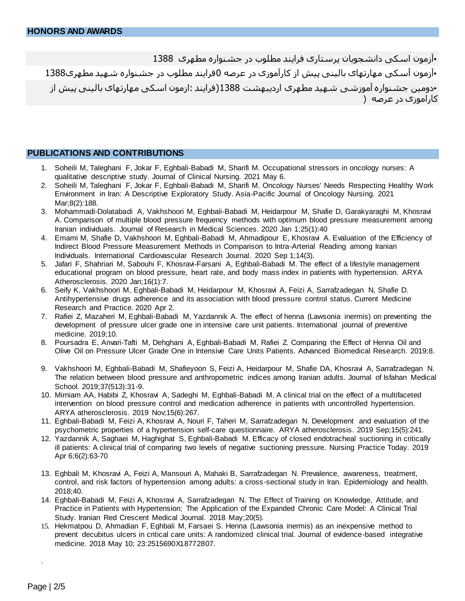**•**آزمون اسکی دانشجویان پرستاری فرایند مطلوب در جشنواره مطهری 8811 **•**آزمون آسکی مهارتهای بالینی پیش از کارآموزی در عرصه 0فرایند مطلوب در جشنواره شهید مطهری8811 **•**دومین جشنواره آموزشی شهید مطهری اردیبهشت 8811)فرایند :ازمون اسکی مهارتهای بالینی پیش از کاراموزی در عرصه (

#### **PUBLICATIONS AND CONTRIBUTIONS**

- 1. Soheili M, Taleghani F, Jokar F, Eghbali‐Babadi M, Sharifi M. Occupational stressors in oncology nurses: A qualitative descriptive study. Journal of Clinical Nursing. 2021 May 6.
- 2. Soheili M, Taleghani F, Jokar F, Eghbali-Babadi M, Sharifi M. Oncology Nurses' Needs Respecting Healthy Work Environment in Iran: A Descriptive Exploratory Study. Asia-Pacific Journal of Oncology Nursing. 2021 Mar;8(2):188.
- 3. Mohammadi-Dolatabadi A, Vakhshoori M, Eghbali-Babadi M, Heidarpour M, Shafie D, Garakyaraghi M, Khosravi A. Comparison of multiple blood pressure frequency methods with optimum blood pressure measurement among Iranian individuals. Journal of Research in Medical Sciences. 2020 Jan 1;25(1):40
- 4. Emami M, Shafie D, Vakhshoori M, Eghbali-Babadi M, Ahmadipour E, Khosravi A. Evaluation of the Efficiency of Indirect Blood Pressure Measurement Methods in Comparison to Intra-Arterial Reading among Iranian Individuals. International Cardiovascular Research Journal. 2020 Sep 1;14(3).
- 5. Jafari F, Shahriari M, Sabouhi F, Khosravi-Farsani A, Eghbali-Babadi M. The effect of a lifestyle management educational program on blood pressure, heart rate, and body mass index in patients with hypertension. ARYA Atherosclerosis. 2020 Jan;16(1):7.
- 6. Seify K, Vakhshoori M, Eghbali-Babadi M, Heidarpour M, Khosravi A, Feizi A, Sarrafzadegan N, Shafie D. Antihypertensive drugs adherence and its association with blood pressure control status. Current Medicine Research and Practice. 2020 Apr 2.
- 7. Rafiei Z, Mazaheri M, Eghbali-Babadi M, Yazdannik A. The effect of henna (Lawsonia inermis) on preventing the development of pressure ulcer grade one in intensive care unit patients. International journal of preventive medicine. 2019;10.
- 8. Poursadra E, Anvari-Tafti M, Dehghani A, Eghbali-Babadi M, Rafiei Z. Comparing the Effect of Henna Oil and Olive Oil on Pressure Ulcer Grade One in Intensive Care Units Patients. Advanced Biomedical Research. 2019;8.
- 9. Vakhshoori M, Eghbali-Babadi M, Shafieyoon S, Feizi A, Heidarpour M, Shafie DA, Khosravi A, Sarrafzadegan N. The relation between blood pressure and anthropometric indices among Iranian adults. Journal of Isfahan Medical School. 2019;37(513):31-9.
- 10. Mirniam AA, Habibi Z, Khosravi A, Sadeghi M, Eghbali-Babadi M. A clinical trial on the effect of a multifaceted intervention on blood pressure control and medication adherence in patients with uncontrolled hypertension. ARYA atherosclerosis. 2019 Nov;15(6):267.
- 11. Eghbali-Babadi M, Feizi A, Khosravi A, Nouri F, Taheri M, Sarrafzadegan N. Development and evaluation of the psychometric properties of a hypertension self-care questionnaire. ARYA atherosclerosis. 2019 Sep;15(5):241.
- 12. Yazdannik A, Saghaei M, Haghighat S, Eghbali-Babadi M. Efficacy of closed endotracheal suctioning in critically ill patients: A clinical trial of comparing two levels of negative suctioning pressure. Nursing Practice Today. 2019 Apr 6;6(2):63-70
- 13. Eghbali M, Khosravi A, Feizi A, Mansouri A, Mahaki B, Sarrafzadegan N. Prevalence, awareness, treatment, control, and risk factors of hypertension among adults: a cross-sectional study in Iran. Epidemiology and health. 2018;40.
- 14. Eghbali-Babadi M, Feizi A, Khosravi A, Sarrafzadegan N. The Effect of Training on Knowledge, Attitude, and Practice in Patients with Hypertension; The Application of the Expanded Chronic Care Model: A Clinical Trial Study. Iranian Red Crescent Medical Journal. 2018 May;20(5).
- 15. Hekmatpou D, Ahmadian F, Eghbali M, Farsaei S. Henna (Lawsonia inermis) as an inexpensive method to prevent decubitus ulcers in critical care units: A randomized clinical trial. Journal of evidence-based integrative medicine. 2018 May 10; 23:2515690X18772807.

.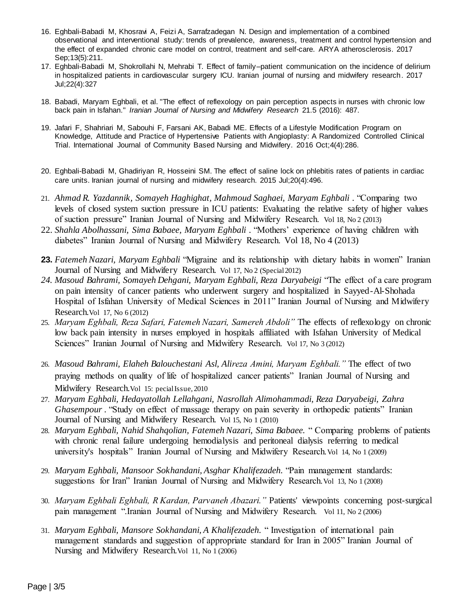- 16. Eghbali-Babadi M, Khosravi A, Feizi A, Sarrafzadegan N. Design and implementation of a combined observational and interventional study: trends of prevalence, awareness, treatment and control hypertension and the effect of expanded chronic care model on control, treatment and self-care. ARYA atherosclerosis. 2017 Sep;13(5):211.
- 17. Eghbali-Babadi M, Shokrollahi N, Mehrabi T. Effect of family–patient communication on the incidence of delirium in hospitalized patients in cardiovascular surgery ICU. Iranian journal of nursing and midwifery research. 2017 Jul;22(4):327
- 18. Babadi, Maryam Eghbali, et al. "The effect of reflexology on pain perception aspects in nurses with chronic low back pain in Isfahan." *Iranian Journal of Nursing and Midwifery Research* 21.5 (2016): 487.
- 19. Jafari F, Shahriari M, Sabouhi F, Farsani AK, Babadi ME. Effects of a Lifestyle Modification Program on Knowledge, Attitude and Practice of Hypertensive Patients with Angioplasty: A Randomized Controlled Clinical Trial. International Journal of Community Based Nursing and Midwifery. 2016 Oct;4(4):286.
- 20. Eghbali-Babadi M, Ghadiriyan R, Hosseini SM. The effect of saline lock on phlebitis rates of patients in cardiac care units. Iranian journal of nursing and midwifery research. 2015 Jul;20(4):496.
- 21. *Ahmad R. Yazdannik, Somayeh Haghighat, Mahmoud Saghaei, Maryam Eghbali .* "Comparing two levels of closed system suction pressure in ICU patients: Evaluating the relative safety of higher values of suction pressure" Iranian Journal of Nursing and Midwifery Research. [Vol 18, No 2 \(2013\)](http://www.ijnmr.mui.ac.ir/index.php/ijnmr/issue/view/50)
- 22. *Shahla Abolhassani, Sima Babaee, Maryam Eghbali .* "Mothers' experience of having children with diabetes" Iranian Journal of Nursing and Midwifery Research. Vol 18, No 4 (2013)
- **23.** *Fatemeh Nazari, Maryam Eghbali* "Migraine and its relationship with dietary habits in women" Iranian Journal of Nursing and Midwifery Research. [Vol 17, No 2 \(Special 2012\)](http://www.ijnmr.mui.ac.ir/index.php/ijnmr/issue/view/44)
- *24. Masoud Bahrami, Somayeh Dehgani, Maryam Eghbali, Reza Daryabeigi* "The effect of a care program on pain intensity of cancer patients who underwent surgery and hospitalized in Sayyed-Al-Shohada Hospital of Isfahan University of Medical Sciences in 2011" Iranian Journal of Nursing and Midwifery Research.[Vol 17, No 6 \(2012\)](http://www.ijnmr.mui.ac.ir/index.php/ijnmr/issue/view/47)
- 25. *Maryam Eghbali, Reza Safari, Fatemeh Nazari, Samereh Abdoli"* The effects of reflexology on chronic low back pain intensity in nurses employed in hospitals affiliated with Isfahan University of Medical Sciences" Iranian Journal of Nursing and Midwifery Research. [Vol 17, No 3 \(2012\)](http://www.ijnmr.mui.ac.ir/index.php/ijnmr/issue/view/43)
- 26. *Masoud Bahrami, Elaheh Balouchestani Asl, Alireza Amini, Maryam Eghbali."* The effect of two praying methods on quality of life of hospitalized cancer patients" Iranian Journal of Nursing and Midwifery Research.[Vol 15: pecial Issue, 2010](http://www.ijnmr.mui.ac.ir/index.php/ijnmr/issue/view/39)
- 27. *Maryam Eghbali, Hedayatollah Lellahgani, Nasrollah Alimohammadi, Reza Daryabeigi, Zahra Ghasempour .* "Study on effect of massage therapy on pain severity in orthopedic patients" Iranian Journal of Nursing and Midwifery Research. [Vol 15, No 1 \(2010\)](http://www.ijnmr.mui.ac.ir/index.php/ijnmr/issue/view/29)
- 28. *Maryam Eghbali, Nahid Shahqolian, Fatemeh Nazari, Sima Babaee.* " Comparing problems of patients with chronic renal failure undergoing hemodialysis and peritoneal dialysis referring to medical university's hospitals" Iranian Journal of Nursing and Midwifery Research.[Vol 14, No 1 \(2009\)](http://www.ijnmr.mui.ac.ir/index.php/ijnmr/issue/view/10)
- 29. *Maryam Eghbali, Mansoor Sokhandani, Asghar Khalifezadeh.* "Pain management standards: suggestions for Iran" Iranian Journal of Nursing and Midwifery Research.[Vol 13, No 1 \(2008\)](http://www.ijnmr.mui.ac.ir/index.php/ijnmr/issue/view/5)
- 30. *Maryam Eghbali Eghbali, R Kardan, Parvaneh Abazari."* Patients' viewpoints concerning post-surgical pain management ".Iranian Journal of Nursing and Midwifery Research. [Vol 11, No 2 \(2006\)](http://www.ijnmr.mui.ac.ir/index.php/ijnmr/issue/view/15)
- 31. *Maryam Eghbali, Mansore Sokhandani, A Khalifezadeh.* " Investigation of international pain management standards and suggestion of appropriate standard for Iran in 2005" Iranian Journal of Nursing and Midwifery Research.[Vol 11, No 1 \(2006\)](http://www.ijnmr.mui.ac.ir/index.php/ijnmr/issue/view/16)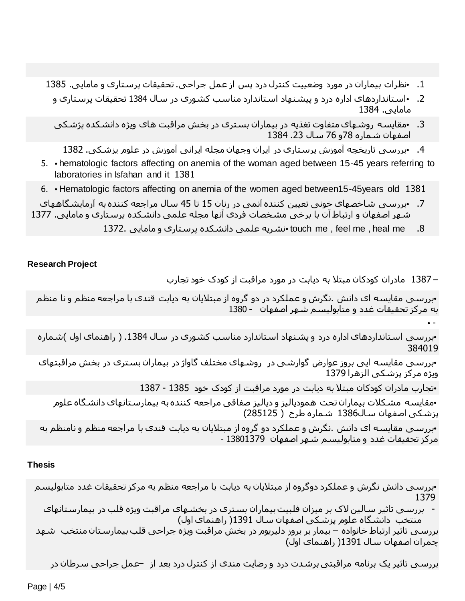- .8 **•**نظرات بیماران در مورد وضعییت کنترل درد پس از عمل جراحی. تحقیقات پرستاری و مامایی. 8811
	- .2 **•**استانداردهای اداره درد و پیشنهاد استاندارد مناسب کشوری در سال 1384 تحقیقات پرستاری و مامایی. 8811
	- .8 **•**مقایسه روشهای متفاوت تغذیه در بیماران بستری در بخش مراقبت های ویژه دانشکده پژشکی اصفهان شماره 81و 87 سال .28 8811
		- .1 **•**بررسی تاریخچه آموزش پرستاری در ایران وجهان مجله ایرانی آموزش در علوم پزشکی. 8812
- 5. **•** hematologic factors affecting on anemia of the woman aged between 15-45 years referring to laboratories in Isfahan and it 1381
- 6. Hematologic factors affecting on anemia of the women aged between15-45years old 1381
- .8 **•**بررسی شاخصهای خونی تعیین کننده آنمی در زنان 81 تا 11 سال مراجعه کننده به آزمایشگاههای شهر اصفهان و ارتباط آن با برخی مشخصات فردی آنها مجله علمی دانشکده پرستاری و مامایی. 8888
	- .1 me heal , me feel , me touch**•** نشریه علمی دانشکده پرستاری و مامایی 8882.

## **Research Project**

– 8818 مادران کودکان مبتال به دیابت در مورد مراقبت از کودک خود تجارب

**•** -

**•**بررسی مقایسه ای دانش .نگرش و عملکرد در دو گروه از مبتالیان به دیابت قندی با مراجعه منظم و نا منظم به مرکز تحقیقات غدد و متابولیسم شهر اصفهان - 1380

**•**بررسی استانداردهای اداره درد و پشنهاد استاندارد مناسب کشوری در سال .8811 ) راهنمای اول (شماره 384019

**•**بررسی مقایسه ایی بروز عوارض گوارشی در روشهای مختلف گاواژ در بیماران بستری در بخش مراقبتهای ویژه مرکز پزشکی الزهرا 8883

**•**تجارب مادران کودکان مبتال به دیابت در مورد مراقبت از کودک خود 8811 - 8818

**•**مقایسه مشکالت بیماران تحت همودیالیز و دیالیز صفاقی مراجعه کننده به بیمارستانهای دانشگاه علوم پزشکی اصفهان سال8817 شماره طرح ) 211821(

**•**بررسی مقایسه ای دانش .نگرش و عملکرد دو گروه از مبتالیان به دیابت قندی با مراجعه منظم و نامنظم به مرکز تحقیقات غدد و متابولیسم شهر اصفهان 13808883 -

## **Thesis**

**•**بررسی دانش نگرش و عملکرد دوگروه از مبتالیان به دیابت با مراجعه منظم به مرکز تحقیقات غدد متابولیسم 1379

- بررسی تاثیر سالین الک بر میزان فلبیت بیماران بستری در بخشهای مراقبت ویژه قلب در بیمارستانهای منتخب دانشگاه علوم پزشکی اصفهان سال 8838) راهنمای اول(

بررسی تاثیر ارتباط خانواده – بیمار بر بروز دلیریوم در بخش مراقبت ویژه جراحی قلب بیمارستان منتخب شهد چمران اصفهان سال 8838) راهنمای اول(

بررسی تاثیر یک برنامه مراقبتی برشدت درد و رضایت مندی از کنترل درد بعد از –عمل جراحی سرطان در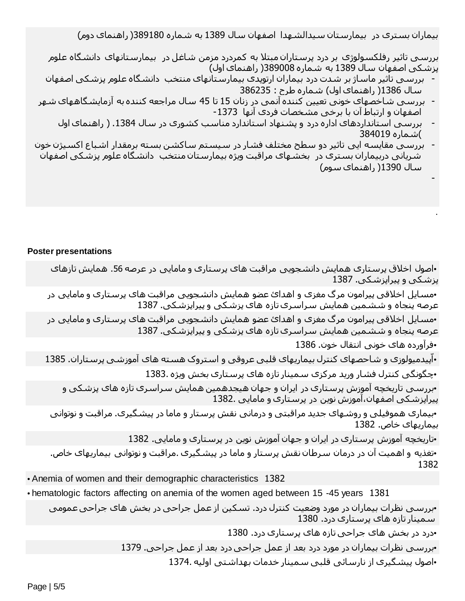بیماران بستری در بیمارستان سیدالشهدا اصفهان سال 8813 به شماره 813810) راهنمای دوم(

بررسی تاثیر رفلکسولوژی بر درد پرستاران مبتال به کمردرد مزمن شاغل در بیمارستانهای دانشگاه علوم پزشکی اصفهان سال 8813 به شماره 813001) راهنمای اول(

- بررسی تاثیر ماساژ بر شدت درد بیماران ارتوپدی بیمارستانهای منتخب دانشگاه علوم پزشکی اصفهان سال 1386( راهنمای اول) شماره طرح : 386235
- بررسی شاخصهای خونی تعیین کننده آنمی در زنان 81 تا 11 سال مراجعه کننده به آزمایشگاههای شهر اصفهان و ارتباط ان با برخی مشخصات فردی آنها 1373-
	- بررسی استانداردهای اداره درد و پشنهاد استاندارد مناسب کشوری در سال 1384. ( راهنمای اول (شماره 811083
- بررسی مقایسه ایی تاثیر دو سطح مختلف فشار در سیستم ساکشن بسته برمقدار اشباع اکسیژن خون شریانی دربیماران بستری در بخشهای مراقبت ویژه بیمارستان منتخب دانشگاه علوم پزشکی اصفهان سال 8830) راهنمای سوم(

## **Poster presentations**

**•**اصول اخالق پرستاری همایش دانشجویی مراقبت های پرستاری و مامایی در عرصه .56 همایش تازهای پزشکی و پیراپزشکی. 8818

**•**مسایل اخالقی پیرامون مرگ مغزی و اهدائ عضو همایش دانشجویی مراقبت های پرستاری و مامایی در عرصه پنجاه و ششمین همایش سراسری تازه های پزشکی و پیراپزشکی. 8818

**•**مسایل اخالقی پیرامون مرگ مغزی و اهدائ عضو همایش دانشجویی مراقبت های پرستاری و مامایی در عرصه پنجاه و ششمین همایش سراسری تازه های پزشکی و پیراپزشکی. 8818

**•**فرآورده های خونی انتقال خون. 8817

-

.

**•**اّپیدمیولوزی و شاحصهای کنترل بیماریهای قلبی عروقی و استروک هسته های آموزشی پرستاران. 8811 **•**چگونگی کنترل فشار ورید مرکزی سمینار تازه های پرستاری بخش ویژه 8818.

**•**بررسی تاریخچه آموزش پرستاری در ایران و جهان هیجدهمین همایش سراسری تازه های پزشکی و پیراپزشکی اصفهان،آموزش نوین در پرستاری و مامایی 8812.

**•**بیماری هموفیلی و روشهای جدید مراقبتی و درمانی نقش پرستار و ماما در پیشگیری. مراقبت و نوتوانی بیماریهای خاص. 8812

**•**تاریخچه آموزش پرستاری در ایران و جهان آموزش نوین در پرستاری و مامایی. 8812

**•**تغذیه و اهمیت آن در درمان سرطان نقش پرستار و ماما در پیشگیری .مراقبت و نوتوانی بیماریهای خاص. 1382

• Anemia of women and their demographic characteristics 1382

• hematologic factors affecting on anemia of the women aged between 15 -45 years 1381

**•**بررسی نظرات بیماران در مورد وضعیت کنترل درد. تسکین از عمل جراحی در بخش های جراحیعمومی سمینار تازه های پرستاری درد. 8810

**•**درد در بخش های جراحی تازه های پرستاری درد. 8810

**•**بررسی نظرات بیماران در مورد درد بعد از عمل جراحی درد بعد از عمل جراحی. 8883

**•**اصول پیشگیری از نارسائی قلبی سمینار خدمات بهداشتی اولیه 8881.